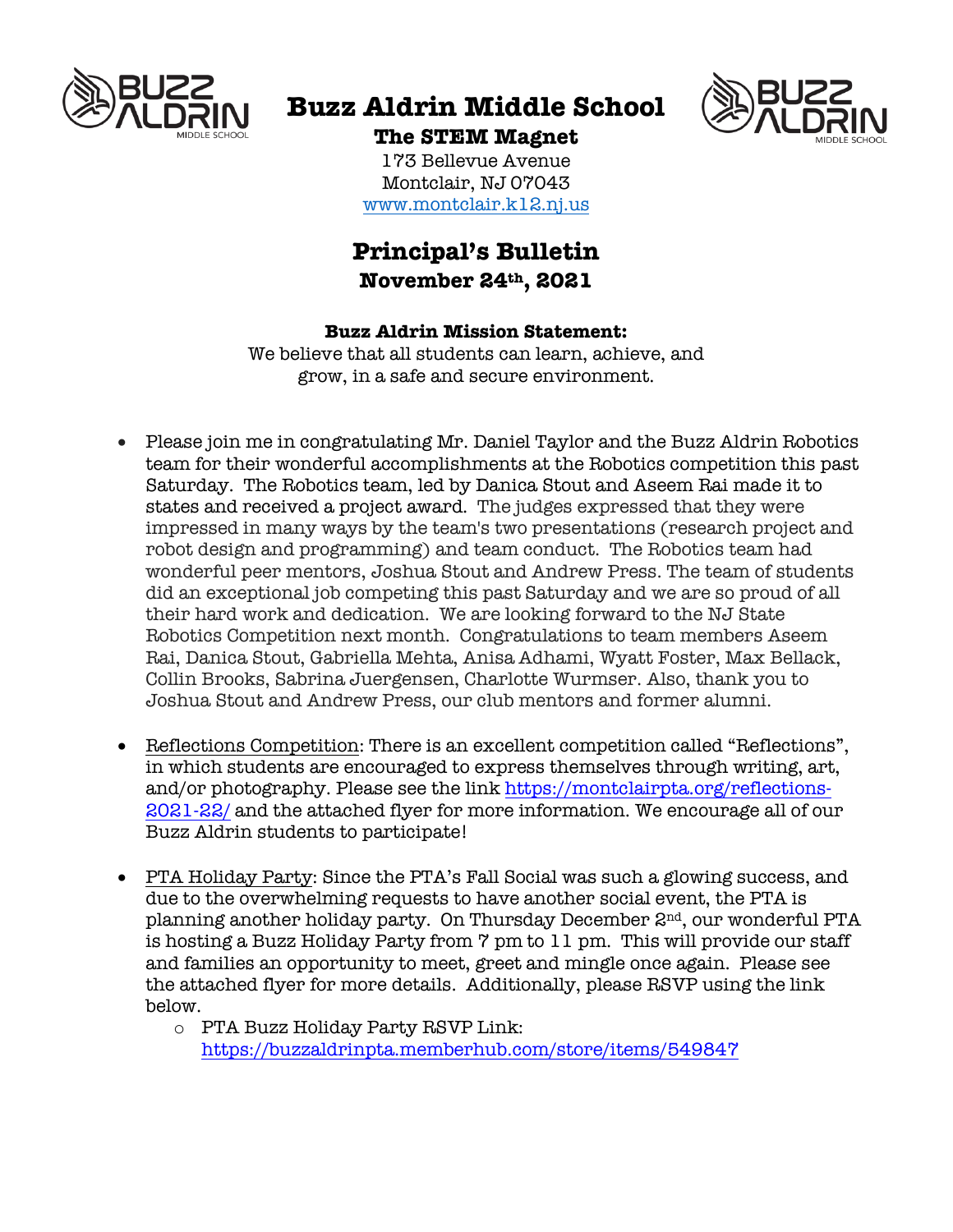

# **Buzz Aldrin Middle School**



**The STEM Magnet** 173 Bellevue Avenue Montclair, NJ 07043 www.montclair.k12.nj.us

# **Principal's Bulletin November 24th, 2021**

## **Buzz Aldrin Mission Statement:**

We believe that all students can learn, achieve, and grow, in a safe and secure environment.

- Please join me in congratulating Mr. Daniel Taylor and the Buzz Aldrin Robotics team for their wonderful accomplishments at the Robotics competition this past Saturday. The Robotics team, led by Danica Stout and Aseem Rai made it to states and received a project award. The judges expressed that they were impressed in many ways by the team's two presentations (research project and robot design and programming) and team conduct. The Robotics team had wonderful peer mentors, Joshua Stout and Andrew Press. The team of students did an exceptional job competing this past Saturday and we are so proud of all their hard work and dedication. We are looking forward to the NJ State Robotics Competition next month. Congratulations to team members Aseem Rai, Danica Stout, Gabriella Mehta, Anisa Adhami, Wyatt Foster, Max Bellack, Collin Brooks, Sabrina Juergensen, Charlotte Wurmser. Also, thank you to Joshua Stout and Andrew Press, our club mentors and former alumni.
- Reflections Competition: There is an excellent competition called "Reflections", in which students are encouraged to express themselves through writing, art, and/or photography. Please see the link https://montclairpta.org/reflections-2021-22/ and the attached flyer for more information. We encourage all of our Buzz Aldrin students to participate!
- PTA Holiday Party: Since the PTA's Fall Social was such a glowing success, and due to the overwhelming requests to have another social event, the PTA is planning another holiday party. On Thursday December 2nd, our wonderful PTA is hosting a Buzz Holiday Party from 7 pm to 11 pm. This will provide our staff and families an opportunity to meet, greet and mingle once again. Please see the attached flyer for more details. Additionally, please RSVP using the link below.
	- o PTA Buzz Holiday Party RSVP Link: https://buzzaldrinpta.memberhub.com/store/items/549847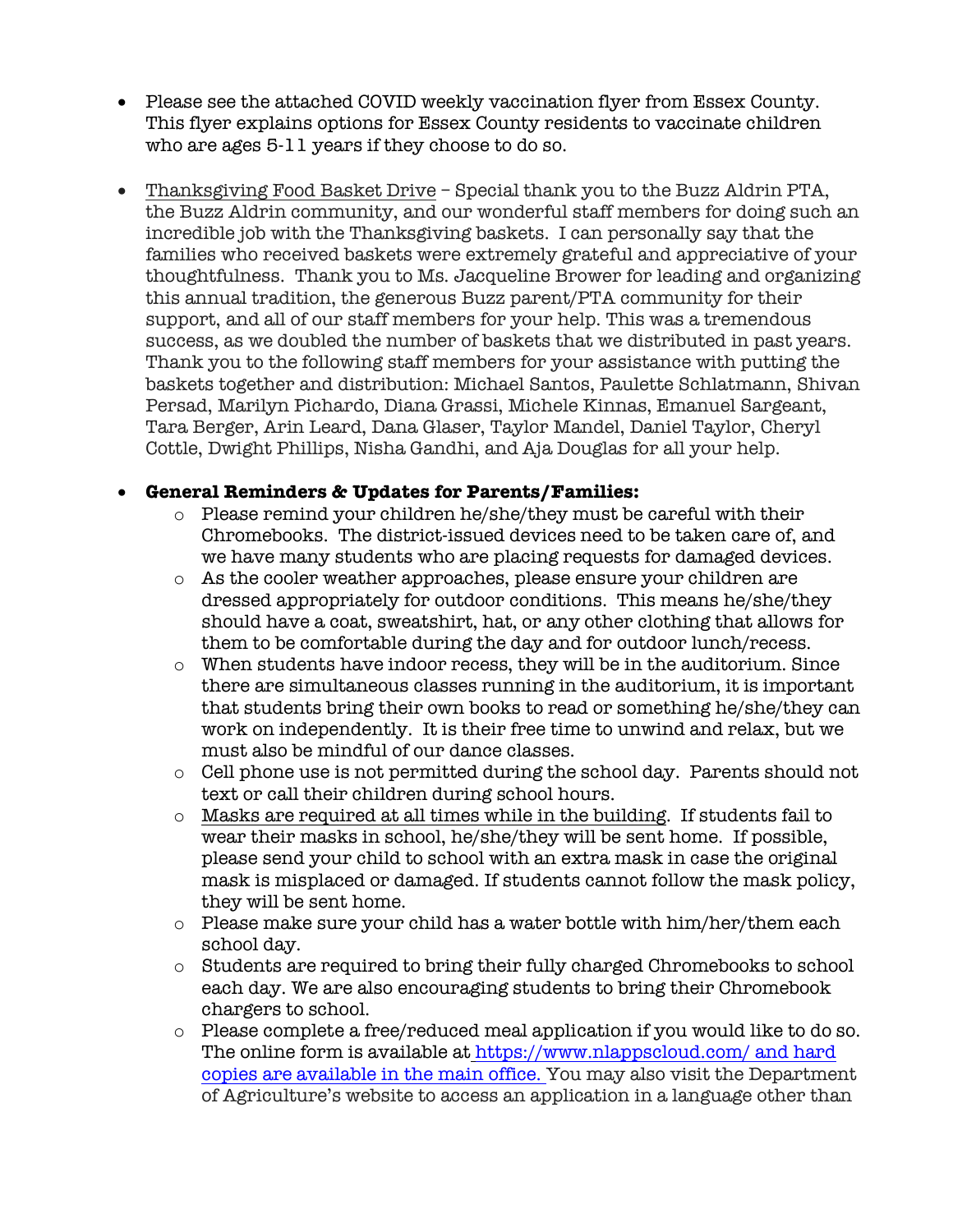- Please see the attached COVID weekly vaccination flyer from Essex County. This flyer explains options for Essex County residents to vaccinate children who are ages 5-11 years if they choose to do so.
- Thanksgiving Food Basket Drive Special thank you to the Buzz Aldrin PTA, the Buzz Aldrin community, and our wonderful staff members for doing such an incredible job with the Thanksgiving baskets. I can personally say that the families who received baskets were extremely grateful and appreciative of your thoughtfulness. Thank you to Ms. Jacqueline Brower for leading and organizing this annual tradition, the generous Buzz parent/PTA community for their support, and all of our staff members for your help. This was a tremendous success, as we doubled the number of baskets that we distributed in past years. Thank you to the following staff members for your assistance with putting the baskets together and distribution: Michael Santos, Paulette Schlatmann, Shivan Persad, Marilyn Pichardo, Diana Grassi, Michele Kinnas, Emanuel Sargeant, Tara Berger, Arin Leard, Dana Glaser, Taylor Mandel, Daniel Taylor, Cheryl Cottle, Dwight Phillips, Nisha Gandhi, and Aja Douglas for all your help.

## • **General Reminders & Updates for Parents/Families:**

- o Please remind your children he/she/they must be careful with their Chromebooks. The district-issued devices need to be taken care of, and we have many students who are placing requests for damaged devices.
- o As the cooler weather approaches, please ensure your children are dressed appropriately for outdoor conditions. This means he/she/they should have a coat, sweatshirt, hat, or any other clothing that allows for them to be comfortable during the day and for outdoor lunch/recess.
- o When students have indoor recess, they will be in the auditorium. Since there are simultaneous classes running in the auditorium, it is important that students bring their own books to read or something he/she/they can work on independently. It is their free time to unwind and relax, but we must also be mindful of our dance classes.
- o Cell phone use is not permitted during the school day. Parents should not text or call their children during school hours.
- o Masks are required at all times while in the building. If students fail to wear their masks in school, he/she/they will be sent home. If possible, please send your child to school with an extra mask in case the original mask is misplaced or damaged. If students cannot follow the mask policy, they will be sent home.
- o Please make sure your child has a water bottle with him/her/them each school day.
- o Students are required to bring their fully charged Chromebooks to school each day. We are also encouraging students to bring their Chromebook chargers to school.
- $\circ$  Please complete a free/reduced meal application if you would like to do so. The online form is available at https://www.nlappscloud.com/ and hard copies are available in the main office. You may also visit the Department of Agriculture's website to access an application in a language other than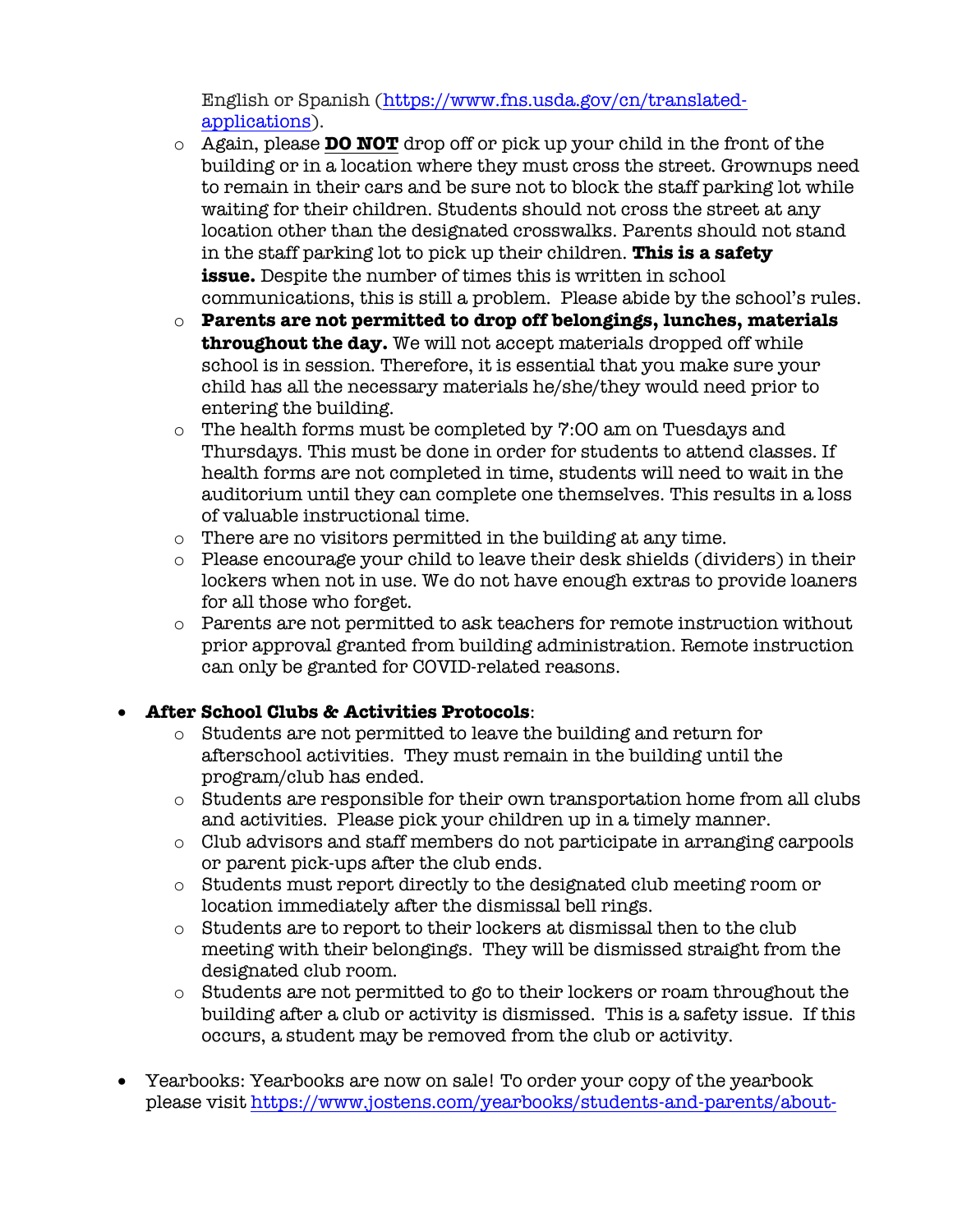English or Spanish (https://www.fns.usda.gov/cn/translatedapplications).

- o Again, please **DO NOT** drop off or pick up your child in the front of the building or in a location where they must cross the street. Grownups need to remain in their cars and be sure not to block the staff parking lot while waiting for their children. Students should not cross the street at any location other than the designated crosswalks. Parents should not stand in the staff parking lot to pick up their children. **This is a safety issue.** Despite the number of times this is written in school communications, this is still a problem. Please abide by the school's rules.
- o **Parents are not permitted to drop off belongings, lunches, materials throughout the day.** We will not accept materials dropped off while school is in session. Therefore, it is essential that you make sure your child has all the necessary materials he/she/they would need prior to entering the building.
- o The health forms must be completed by 7:00 am on Tuesdays and Thursdays. This must be done in order for students to attend classes. If health forms are not completed in time, students will need to wait in the auditorium until they can complete one themselves. This results in a loss of valuable instructional time.
- o There are no visitors permitted in the building at any time.
- o Please encourage your child to leave their desk shields (dividers) in their lockers when not in use. We do not have enough extras to provide loaners for all those who forget.
- $\circ$  Parents are not permitted to ask teachers for remote instruction without prior approval granted from building administration. Remote instruction can only be granted for COVID-related reasons.

#### • **After School Clubs & Activities Protocols**:

- o Students are not permitted to leave the building and return for afterschool activities. They must remain in the building until the program/club has ended.
- o Students are responsible for their own transportation home from all clubs and activities. Please pick your children up in a timely manner.
- o Club advisors and staff members do not participate in arranging carpools or parent pick-ups after the club ends.
- o Students must report directly to the designated club meeting room or location immediately after the dismissal bell rings.
- o Students are to report to their lockers at dismissal then to the club meeting with their belongings. They will be dismissed straight from the designated club room.
- o Students are not permitted to go to their lockers or roam throughout the building after a club or activity is dismissed. This is a safety issue. If this occurs, a student may be removed from the club or activity.
- Yearbooks: Yearbooks are now on sale! To order your copy of the yearbook please visit https://www.jostens.com/yearbooks/students-and-parents/about-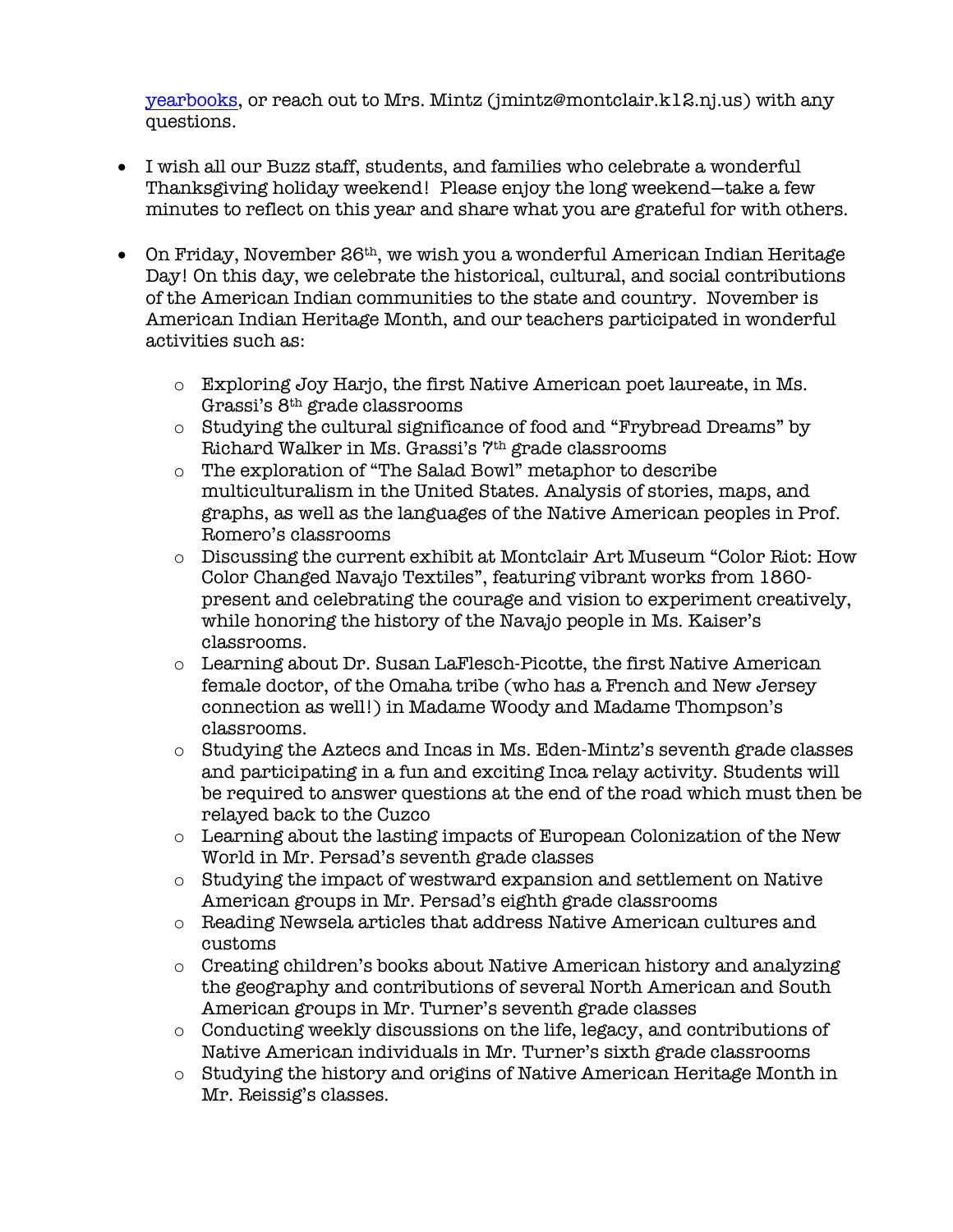yearbooks, or reach out to Mrs. Mintz (jmintz@montclair.k12.nj.us) with any questions.

- I wish all our Buzz staff, students, and families who celebrate a wonderful Thanksgiving holiday weekend! Please enjoy the long weekend—take a few minutes to reflect on this year and share what you are grateful for with others.
- On Friday, November 26<sup>th</sup>, we wish you a wonderful American Indian Heritage Day! On this day, we celebrate the historical, cultural, and social contributions of the American Indian communities to the state and country. November is American Indian Heritage Month, and our teachers participated in wonderful activities such as:
	- o Exploring Joy Harjo, the first Native American poet laureate, in Ms. Grassi's 8th grade classrooms
	- o Studying the cultural significance of food and "Frybread Dreams" by Richard Walker in Ms. Grassi's 7th grade classrooms
	- o The exploration of "The Salad Bowl" metaphor to describe multiculturalism in the United States. Analysis of stories, maps, and graphs, as well as the languages of the Native American peoples in Prof. Romero's classrooms
	- o Discussing the current exhibit at Montclair Art Museum "Color Riot: How Color Changed Navajo Textiles", featuring vibrant works from 1860 present and celebrating the courage and vision to experiment creatively, while honoring the history of the Navajo people in Ms. Kaiser's classrooms.
	- $\circ$  Learning about Dr. Susan LaFlesch-Picotte, the first Native American female doctor, of the Omaha tribe (who has a French and New Jersey connection as well!) in Madame Woody and Madame Thompson's classrooms.
	- $\circ$  Studying the Aztecs and Incas in Ms. Eden-Mintz's seventh grade classes and participating in a fun and exciting Inca relay activity. Students will be required to answer questions at the end of the road which must then be relayed back to the Cuzco
	- $\circ$  Learning about the lasting impacts of European Colonization of the New World in Mr. Persad's seventh grade classes
	- o Studying the impact of westward expansion and settlement on Native American groups in Mr. Persad's eighth grade classrooms
	- o Reading Newsela articles that address Native American cultures and customs
	- o Creating children's books about Native American history and analyzing the geography and contributions of several North American and South American groups in Mr. Turner's seventh grade classes
	- o Conducting weekly discussions on the life, legacy, and contributions of Native American individuals in Mr. Turner's sixth grade classrooms
	- o Studying the history and origins of Native American Heritage Month in Mr. Reissig's classes.